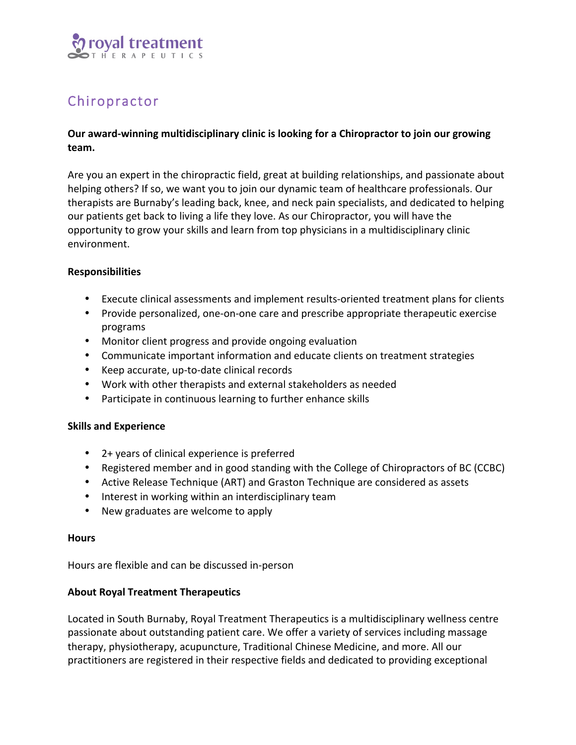

# Chiropractor

# **Our award-winning multidisciplinary clinic is looking for a Chiropractor to join our growing team.**

Are you an expert in the chiropractic field, great at building relationships, and passionate about helping others? If so, we want you to join our dynamic team of healthcare professionals. Our therapists are Burnaby's leading back, knee, and neck pain specialists, and dedicated to helping our patients get back to living a life they love. As our Chiropractor, you will have the opportunity to grow your skills and learn from top physicians in a multidisciplinary clinic environment. 

## **Responsibilities**

- Execute clinical assessments and implement results-oriented treatment plans for clients
- Provide personalized, one-on-one care and prescribe appropriate therapeutic exercise programs
- Monitor client progress and provide ongoing evaluation
- Communicate important information and educate clients on treatment strategies
- Keep accurate, up-to-date clinical records
- Work with other therapists and external stakeholders as needed
- Participate in continuous learning to further enhance skills

### **Skills and Experience**

- 2+ years of clinical experience is preferred
- Registered member and in good standing with the College of Chiropractors of BC (CCBC)
- Active Release Technique (ART) and Graston Technique are considered as assets
- Interest in working within an interdisciplinary team
- New graduates are welcome to apply

#### **Hours**

Hours are flexible and can be discussed in-person

### **About Royal Treatment Therapeutics**

Located in South Burnaby, Royal Treatment Therapeutics is a multidisciplinary wellness centre passionate about outstanding patient care. We offer a variety of services including massage therapy, physiotherapy, acupuncture, Traditional Chinese Medicine, and more. All our practitioners are registered in their respective fields and dedicated to providing exceptional